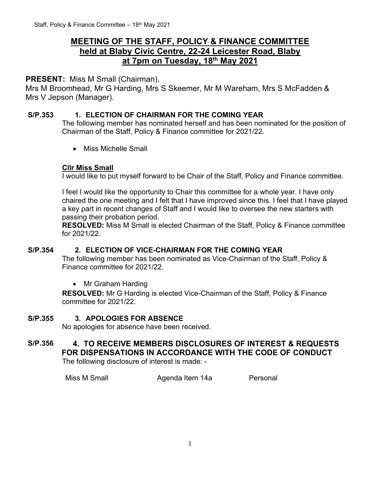## **MEETING OF THE STAFF, POLICY & FINANCE COMMITTEE held at Blaby Civic Centre, 22-24 Leicester Road, Blaby at 7pm on Tuesday, 18 th May 2021**

## **PRESENT:** Miss M Small (Chairman),

Mrs M Broomhead, Mr G Harding, Mrs S Skeemer, Mr M Wareham, Mrs S McFadden & Mrs V Jepson (Manager).

#### **S/P.353 1. ELECTION OF CHAIRMAN FOR THE COMING YEAR**

The following member has nominated herself and has been nominated for the position of Chairman of the Staff, Policy & Finance committee for 2021/22.

• Miss Michelle Small

### **Cllr Miss Small**

I would like to put myself forward to be Chair of the Staff, Policy and Finance committee.

I feel I would like the opportunity to Chair this committee for a whole year. I have only chaired the one meeting and I felt that I have improved since this. I feel that I have played a key part in recent changes of Staff and I would like to oversee the new starters with passing their probation period.

**RESOLVED:** Miss M Small is elected Chairman of the Staff, Policy & Finance committee for 2021/22.

#### **S/P.354 2. ELECTION OF VICE-CHAIRMAN FOR THE COMING YEAR**

The following member has been nominated as Vice-Chairman of the Staff, Policy & Finance committee for 2021/22.

• Mr Graham Harding

**RESOLVED:** Mr G Harding is elected Vice-Chairman of the Staff, Policy & Finance committee for 2021/22.

#### **S/P.355 3. APOLOGIES FOR ABSENCE**

No apologies for absence have been received.

# **S/P.356 4. TO RECEIVE MEMBERS DISCLOSURES OF INTEREST & REQUESTS FOR DISPENSATIONS IN ACCORDANCE WITH THE CODE OF CONDUCT**

The following disclosure of interest is made: -

Miss M Small **Agenda Item 14a** Personal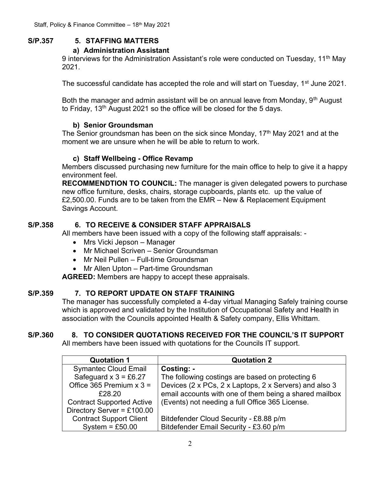## **S/P.357 5. STAFFING MATTERS**

#### **a) Administration Assistant**

9 interviews for the Administration Assistant's role were conducted on Tuesday, 11<sup>th</sup> May 2021.

The successful candidate has accepted the role and will start on Tuesday, 1<sup>st</sup> June 2021.

Both the manager and admin assistant will be on annual leave from Monday, 9<sup>th</sup> August to Friday, 13th August 2021 so the office will be closed for the 5 days.

#### **b) Senior Groundsman**

The Senior groundsman has been on the sick since Monday, 17<sup>th</sup> May 2021 and at the moment we are unsure when he will be able to return to work.

### **c) Staff Wellbeing - Office Revamp**

Members discussed purchasing new furniture for the main office to help to give it a happy environment feel.

**RECOMMENDTION TO COUNCIL:** The manager is given delegated powers to purchase new office furniture, desks, chairs, storage cupboards, plants etc. up the value of £2,500.00. Funds are to be taken from the EMR – New & Replacement Equipment Savings Account.

## **S/P.358 6. TO RECEIVE & CONSIDER STAFF APPRAISALS**

All members have been issued with a copy of the following staff appraisals: -

- Mrs Vicki Jepson Manager
- Mr Michael Scriven Senior Groundsman
- Mr Neil Pullen Full-time Groundsman
- Mr Allen Upton Part-time Groundsman

**AGREED:** Members are happy to accept these appraisals.

## **S/P.359 7. TO REPORT UPDATE ON STAFF TRAINING**

The manager has successfully completed a 4-day virtual Managing Safely training course which is approved and validated by the Institution of Occupational Safety and Health in association with the Councils appointed Health & Safety company, Ellis Whittam.

## **S/P.360 8. TO CONSIDER QUOTATIONS RECEIVED FOR THE COUNCIL'S IT SUPPORT**

All members have been issued with quotations for the Councils IT support.

| <b>Quotation 1</b>               | <b>Quotation 2</b>                                     |
|----------------------------------|--------------------------------------------------------|
| <b>Symantec Cloud Email</b>      | Costing: -                                             |
| Safeguard $x$ 3 = £6.27          | The following costings are based on protecting 6       |
| Office 365 Premium $x$ 3 =       | Devices (2 x PCs, 2 x Laptops, 2 x Servers) and also 3 |
| £28.20                           | email accounts with one of them being a shared mailbox |
| <b>Contract Supported Active</b> | (Events) not needing a full Office 365 License.        |
| Directory Server = £100.00       |                                                        |
| <b>Contract Support Client</b>   | Bitdefender Cloud Security - £8.88 p/m                 |
| System = $£50.00$                | Bitdefender Email Security - £3.60 p/m                 |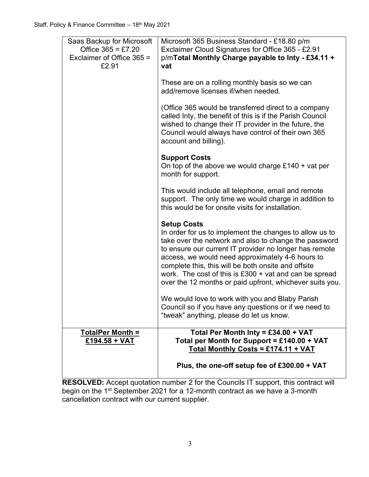| Saas Backup for Microsoft<br>Office $365 = £7.20$<br>Exclaimer of Office 365 =<br>£2.91 | Microsoft 365 Business Standard - £18.80 p/m<br>Exclaimer Cloud Signatures for Office 365 - £2.91<br>p/mTotal Monthly Charge payable to Inty - £34.11 +<br>vat                                                                                                                                                                                                                                                                      |
|-----------------------------------------------------------------------------------------|-------------------------------------------------------------------------------------------------------------------------------------------------------------------------------------------------------------------------------------------------------------------------------------------------------------------------------------------------------------------------------------------------------------------------------------|
|                                                                                         | These are on a rolling monthly basis so we can<br>add/remove licenses if/when needed.                                                                                                                                                                                                                                                                                                                                               |
|                                                                                         | (Office 365 would be transferred direct to a company<br>called Inty, the benefit of this is if the Parish Council<br>wished to change their IT provider in the future, the<br>Council would always have control of their own 365<br>account and billing).                                                                                                                                                                           |
|                                                                                         | <b>Support Costs</b><br>On top of the above we would charge $£140 + \text{vat per}$<br>month for support.                                                                                                                                                                                                                                                                                                                           |
|                                                                                         | This would include all telephone, email and remote<br>support. The only time we would charge in addition to<br>this would be for onsite visits for installation.                                                                                                                                                                                                                                                                    |
|                                                                                         | <b>Setup Costs</b><br>In order for us to implement the changes to allow us to<br>take over the network and also to change the password<br>to ensure our current IT provider no longer has remote<br>access, we would need approximately 4-6 hours to<br>complete this, this will be both onsite and offsite<br>work. The cost of this is $£300 + vat$ and can be spread<br>over the 12 months or paid upfront, whichever suits you. |
|                                                                                         | We would love to work with you and Blaby Parish<br>Council so if you have any questions or if we need to<br>"tweak" anything, please do let us know.                                                                                                                                                                                                                                                                                |
| <b>TotalPer Month =</b><br>£194.58 + VAT                                                | Total Per Month Inty = £34.00 + VAT<br>Total per Month for Support = £140.00 + VAT<br>Total Monthly Costs = £174.11 + VAT                                                                                                                                                                                                                                                                                                           |
|                                                                                         | Plus, the one-off setup fee of £300.00 + VAT                                                                                                                                                                                                                                                                                                                                                                                        |

**RESOLVED:** Accept quotation number 2 for the Councils IT support, this contract will begin on the 1<sup>st</sup> September 2021 for a 12-month contract as we have a 3-month cancellation contract with our current supplier.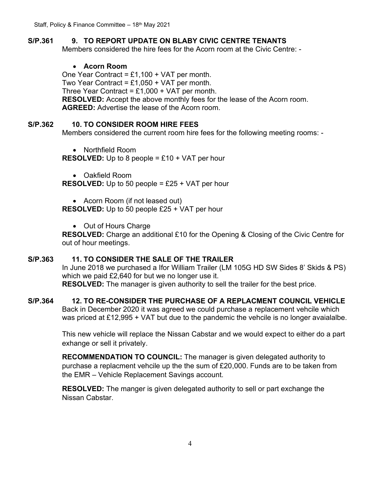## **S/P.361 9. TO REPORT UPDATE ON BLABY CIVIC CENTRE TENANTS**

Members considered the hire fees for the Acorn room at the Civic Centre: -

#### • **Acorn Room**

One Year Contract =  $£1,100 + VAT$  per month. Two Year Contract =  $£1,050 + VAT$  per month. Three Year Contract =  $£1,000 + VAT$  per month. **RESOLVED:** Accept the above monthly fees for the lease of the Acorn room. **AGREED:** Advertise the lease of the Acorn room.

#### **S/P.362 10. TO CONSIDER ROOM HIRE FEES**

Members considered the current room hire fees for the following meeting rooms: -

• Northfield Room

**RESOLVED:** Up to 8 people = £10 + VAT per hour

• Oakfield Room

**RESOLVED:** Up to 50 people = £25 + VAT per hour

• Acorn Room (if not leased out)

**RESOLVED:** Up to 50 people £25 + VAT per hour

• Out of Hours Charge

**RESOLVED:** Charge an additional £10 for the Opening & Closing of the Civic Centre for out of hour meetings.

#### **S/P.363 11. TO CONSIDER THE SALE OF THE TRAILER**

In June 2018 we purchased a Ifor William Trailer (LM 105G HD SW Sides 8' Skids & PS) which we paid £2,640 for but we no longer use it. **RESOLVED:** The manager is given authority to sell the trailer for the best price.

## **S/P.364 12. TO RE-CONSIDER THE PURCHASE OF A REPLACMENT COUNCIL VEHICLE**

Back in December 2020 it was agreed we could purchase a replacement vehcile which was priced at £12,995 + VAT but due to the pandemic the vehcile is no longer avaialalbe.

This new vehicle will replace the Nissan Cabstar and we would expect to either do a part exhange or sell it privately.

**RECOMMENDATION TO COUNCIL:** The manager is given delegated authority to purchase a replacment vehcile up the the sum of £20,000. Funds are to be taken from the EMR – Vehicle Replacement Savings account.

**RESOLVED:** The manger is given delegated authority to sell or part exchange the Nissan Cabstar.